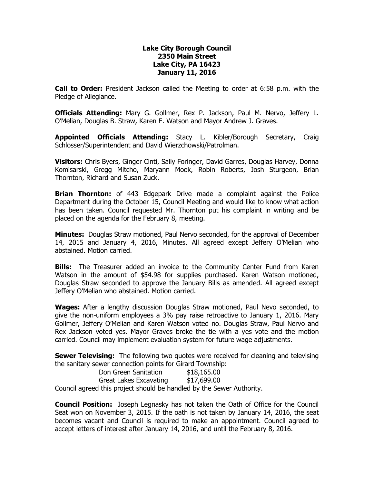## **Lake City Borough Council 2350 Main Street Lake City, PA 16423 January 11, 2016**

**Call to Order:** President Jackson called the Meeting to order at 6:58 p.m. with the Pledge of Allegiance.

**Officials Attending:** Mary G. Gollmer, Rex P. Jackson, Paul M. Nervo, Jeffery L. O'Melian, Douglas B. Straw, Karen E. Watson and Mayor Andrew J. Graves.

**Appointed Officials Attending:** Stacy L. Kibler/Borough Secretary, Craig Schlosser/Superintendent and David Wierzchowski/Patrolman.

**Visitors:** Chris Byers, Ginger Cinti, Sally Foringer, David Garres, Douglas Harvey, Donna Komisarski, Gregg Mitcho, Maryann Mook, Robin Roberts, Josh Sturgeon, Brian Thornton, Richard and Susan Zuck.

**Brian Thornton:** of 443 Edgepark Drive made a complaint against the Police Department during the October 15, Council Meeting and would like to know what action has been taken. Council requested Mr. Thornton put his complaint in writing and be placed on the agenda for the February 8, meeting.

**Minutes:** Douglas Straw motioned, Paul Nervo seconded, for the approval of December 14, 2015 and January 4, 2016, Minutes. All agreed except Jeffery O'Melian who abstained. Motion carried.

**Bills:** The Treasurer added an invoice to the Community Center Fund from Karen Watson in the amount of \$54.98 for supplies purchased. Karen Watson motioned, Douglas Straw seconded to approve the January Bills as amended. All agreed except Jeffery O'Melian who abstained. Motion carried.

**Wages:** After a lengthy discussion Douglas Straw motioned, Paul Nevo seconded, to give the non-uniform employees a 3% pay raise retroactive to January 1, 2016. Mary Gollmer, Jeffery O'Melian and Karen Watson voted no. Douglas Straw, Paul Nervo and Rex Jackson voted yes. Mayor Graves broke the tie with a yes vote and the motion carried. Council may implement evaluation system for future wage adjustments.

**Sewer Televising:** The following two quotes were received for cleaning and televising the sanitary sewer connection points for Girard Township:

| Don Green Sanitation                                                  | \$18,165.00 |
|-----------------------------------------------------------------------|-------------|
| Great Lakes Excavating                                                | \$17,699.00 |
| Council agreed this project should be handled by the Sewer Authority. |             |

**Council Position:** Joseph Legnasky has not taken the Oath of Office for the Council Seat won on November 3, 2015. If the oath is not taken by January 14, 2016, the seat becomes vacant and Council is required to make an appointment. Council agreed to accept letters of interest after January 14, 2016, and until the February 8, 2016.